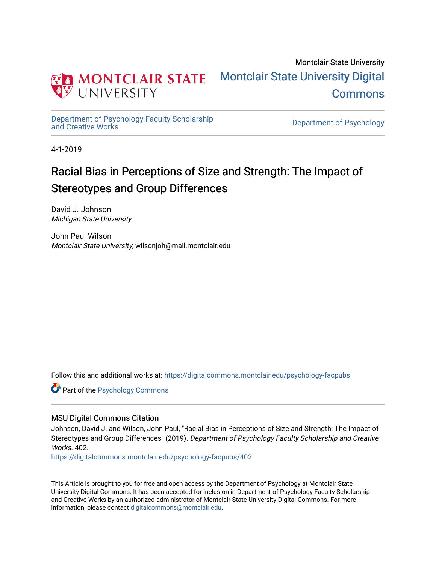

Montclair State University [Montclair State University Digital](https://digitalcommons.montclair.edu/)  **Commons** 

[Department of Psychology Faculty Scholarship](https://digitalcommons.montclair.edu/psychology-facpubs) 

Department of Psychology

4-1-2019

# Racial Bias in Perceptions of Size and Strength: The Impact of Stereotypes and Group Differences

David J. Johnson Michigan State University

John Paul Wilson Montclair State University, wilsonjoh@mail.montclair.edu

Follow this and additional works at: [https://digitalcommons.montclair.edu/psychology-facpubs](https://digitalcommons.montclair.edu/psychology-facpubs?utm_source=digitalcommons.montclair.edu%2Fpsychology-facpubs%2F402&utm_medium=PDF&utm_campaign=PDFCoverPages) 

**C** Part of the Psychology Commons

# MSU Digital Commons Citation

Johnson, David J. and Wilson, John Paul, "Racial Bias in Perceptions of Size and Strength: The Impact of Stereotypes and Group Differences" (2019). Department of Psychology Faculty Scholarship and Creative Works. 402

[https://digitalcommons.montclair.edu/psychology-facpubs/402](https://digitalcommons.montclair.edu/psychology-facpubs/402?utm_source=digitalcommons.montclair.edu%2Fpsychology-facpubs%2F402&utm_medium=PDF&utm_campaign=PDFCoverPages) 

This Article is brought to you for free and open access by the Department of Psychology at Montclair State University Digital Commons. It has been accepted for inclusion in Department of Psychology Faculty Scholarship and Creative Works by an authorized administrator of Montclair State University Digital Commons. For more information, please contact [digitalcommons@montclair.edu](mailto:digitalcommons@montclair.edu).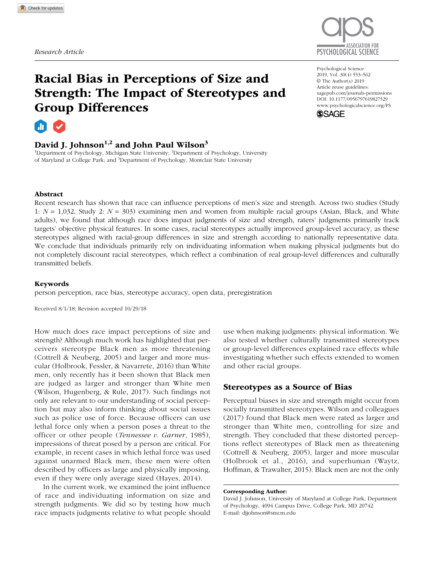

# Racial Bias in Perceptions of Size and Strength: The Impact of Stereotypes and Group Differences

# a.

# David J. Johnson<sup>1,2</sup> and John Paul Wilson<sup>3</sup>

<sup>1</sup>Department of Psychology, Michigan State University; <sup>2</sup>Department of Psychology, University of Maryland at College Park; and <sup>3</sup>Department of Psychology, Montclair State University

#### https://doi.org/10.1177/0956797619827529 DOI: 10.1177/0956797619827529 Psychological Science 2019, Vol. 30(4) 553–562 © The Author(s) 2019 Article reuse guidelines: [sagepub.com/journals-permissions](https://sagepub.com/journals-permissions) [www.psychologicalscience.org/PS](http://www.psychologicalscience.org/ps)



## Abstract

Recent research has shown that race can influence perceptions of men's size and strength. Across two studies (Study 1: *N* = 1,032, Study 2: *N* = 303) examining men and women from multiple racial groups (Asian, Black, and White adults), we found that although race does impact judgments of size and strength, raters' judgments primarily track targets' objective physical features. In some cases, racial stereotypes actually improved group-level accuracy, as these stereotypes aligned with racial-group differences in size and strength according to nationally representative data. We conclude that individuals primarily rely on individuating information when making physical judgments but do not completely discount racial stereotypes, which reflect a combination of real group-level differences and culturally transmitted beliefs.

## Keywords

person perception, race bias, stereotype accuracy, open data, preregistration

Received 8/1/18; Revision accepted 10/29/18

How much does race impact perceptions of size and strength? Although much work has highlighted that perceivers stereotype Black men as more threatening (Cottrell & Neuberg, 2005) and larger and more muscular (Holbrook, Fessler, & Navarrete, 2016) than White men, only recently has it been shown that Black men are judged as larger and stronger than White men (Wilson, Hugenberg, & Rule, 2017). Such findings not only are relevant to our understanding of social perception but may also inform thinking about social issues such as police use of force. Because officers can use lethal force only when a person poses a threat to the officer or other people (*Tennessee v. Garner*, 1985), impressions of threat posed by a person are critical. For example, in recent cases in which lethal force was used against unarmed Black men, these men were often described by officers as large and physically imposing, even if they were only average sized (Hayes, 2014).

In the current work, we examined the joint influence of race and individuating information on size and strength judgments. We did so by testing how much race impacts judgments relative to what people should use when making judgments: physical information. We also tested whether culturally transmitted stereotypes or group-level differences explained race effects while investigating whether such effects extended to women and other racial groups.

## Stereotypes as a Source of Bias

Perceptual biases in size and strength might occur from socially transmitted stereotypes. Wilson and colleagues (2017) found that Black men were rated as larger and stronger than White men, controlling for size and strength. They concluded that these distorted perceptions reflect stereotypes of Black men as threatening (Cottrell & Neuberg, 2005), larger and more muscular (Holbrook et al., 2016), and superhuman (Waytz, Hoffman, & Trawalter, 2015). Black men are not the only

Corresponding Author:

David J. Johnson, University of Maryland at College Park, Department of Psychology, 4094 Campus Drive, College Park, MD 20742 E-mail: [djjohnson@smcm.edu](mailto:djjohnson@smcm.edu)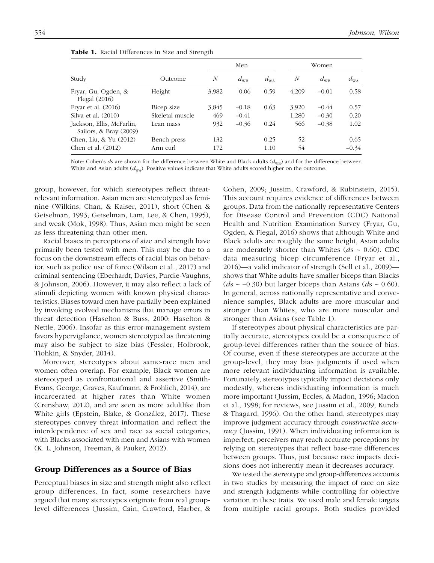| Study                                                 |                 |       | Men          |              |       | Women        |              |  |
|-------------------------------------------------------|-----------------|-------|--------------|--------------|-------|--------------|--------------|--|
|                                                       | Outcome         | N     | $d_{\rm WB}$ | $d_{\rm WA}$ | N     | $d_{\rm WB}$ | $d_{\rm WA}$ |  |
| Fryar, Gu, Ogden, &<br>Flegal $(2016)$                | Height          | 3,982 | 0.06         | 0.59         | 4,209 | $-0.01$      | 0.58         |  |
| Fryar et al. $(2016)$                                 | Bicep size      | 3,845 | $-0.18$      | 0.63         | 3.920 | $-0.44$      | 0.57         |  |
| Silva et al. (2010)                                   | Skeletal muscle | 469   | $-0.41$      |              | 1,280 | $-0.30$      | 0.20         |  |
| Jackson, Ellis, McFarlin,<br>Sailors, & Bray $(2009)$ | Lean mass       | 932   | $-0.36$      | 0.24         | 566   | $-0.38$      | 1.02         |  |
| Chen, Liu, & Yu (2012)                                | Bench press     | 132   |              | 0.25         | 52    |              | 0.65         |  |
| Chen et al. (2012)                                    | Arm curl        | 172   |              | 1.10         | 54    |              | $-0.34$      |  |

|  |  | Table 1. Racial Differences in Size and Strength |  |  |  |  |  |
|--|--|--------------------------------------------------|--|--|--|--|--|
|--|--|--------------------------------------------------|--|--|--|--|--|

Note: Cohen's *ds* are shown for the difference between White and Black adults ( $d_{\text{WB}}$ ) and for the difference between White and Asian adults  $(d_{\text{WA}})$ . Positive values indicate that White adults scored higher on the outcome.

group, however, for which stereotypes reflect threatrelevant information. Asian men are stereotyped as feminine (Wilkins, Chan, & Kaiser, 2011), short (Chen & Geiselman, 1993; Geiselman, Lam, Lee, & Chen, 1995), and weak (Mok, 1998). Thus, Asian men might be seen as less threatening than other men.

Racial biases in perceptions of size and strength have primarily been tested with men. This may be due to a focus on the downstream effects of racial bias on behavior, such as police use of force (Wilson et al., 2017) and criminal sentencing (Eberhardt, Davies, Purdie-Vaughns, & Johnson, 2006). However, it may also reflect a lack of stimuli depicting women with known physical characteristics. Biases toward men have partially been explained by invoking evolved mechanisms that manage errors in threat detection (Haselton & Buss, 2000; Haselton & Nettle, 2006). Insofar as this error-management system favors hypervigilance, women stereotyped as threatening may also be subject to size bias (Fessler, Holbrook, Tiohkin, & Snyder, 2014).

Moreover, stereotypes about same-race men and women often overlap. For example, Black women are stereotyped as confrontational and assertive (Smith-Evans, George, Graves, Kaufmann, & Frohlich, 2014), are incarcerated at higher rates than White women (Crenshaw, 2012), and are seen as more adultlike than White girls (Epstein, Blake, & González, 2017). These stereotypes convey threat information and reflect the interdependence of sex and race as social categories, with Blacks associated with men and Asians with women (K. L. Johnson, Freeman, & Pauker, 2012).

## Group Differences as a Source of Bias

Perceptual biases in size and strength might also reflect group differences. In fact, some researchers have argued that many stereotypes originate from real grouplevel differences (Jussim, Cain, Crawford, Harber, & Cohen, 2009; Jussim, Crawford, & Rubinstein, 2015). This account requires evidence of differences between groups. Data from the nationally representative Centers for Disease Control and Prevention (CDC) National Health and Nutrition Examination Survey (Fryar, Gu, Ogden, & Flegal, 2016) shows that although White and Black adults are roughly the same height, Asian adults are moderately shorter than Whites (*d*s ~ 0.60). CDC data measuring bicep circumference (Fryar et al., 2016)—a valid indicator of strength (Sell et al., 2009) shows that White adults have smaller biceps than Blacks ( $ds \sim -0.30$ ) but larger biceps than Asians ( $ds \sim 0.60$ ). In general, across nationally representative and convenience samples, Black adults are more muscular and stronger than Whites, who are more muscular and stronger than Asians (see Table 1).

If stereotypes about physical characteristics are partially accurate, stereotypes could be a consequence of group-level differences rather than the source of bias. Of course, even if these stereotypes are accurate at the group-level, they may bias judgments if used when more relevant individuating information is available. Fortunately, stereotypes typically impact decisions only modestly, whereas individuating information is much more important (Jussim, Eccles, & Madon, 1996; Madon et al., 1998; for reviews, see Jussim et al., 2009; Kunda & Thagard, 1996). On the other hand, stereotypes may improve judgment accuracy through *constructive accuracy* (Jussim, 1991). When individuating information is imperfect, perceivers may reach accurate perceptions by relying on stereotypes that reflect base-rate differences between groups. Thus, just because race impacts decisions does not inherently mean it decreases accuracy.

We tested the stereotype and group-differences accounts in two studies by measuring the impact of race on size and strength judgments while controlling for objective variation in these traits. We used male and female targets from multiple racial groups. Both studies provided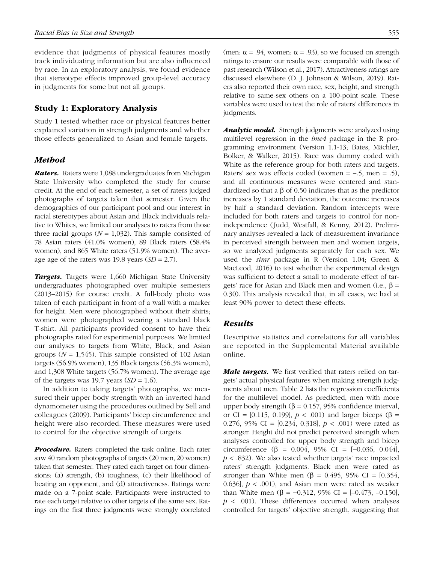evidence that judgments of physical features mostly track individuating information but are also influenced by race. In an exploratory analysis, we found evidence that stereotype effects improved group-level accuracy in judgments for some but not all groups.

## Study 1: Exploratory Analysis

Study 1 tested whether race or physical features better explained variation in strength judgments and whether those effects generalized to Asian and female targets.

## *Method*

*Raters.* Raters were 1,088 undergraduates from Michigan State University who completed the study for course credit. At the end of each semester, a set of raters judged photographs of targets taken that semester. Given the demographics of our participant pool and our interest in racial stereotypes about Asian and Black individuals relative to Whites, we limited our analyses to raters from those three racial groups  $(N = 1,032)$ . This sample consisted of 78 Asian raters (41.0% women), 89 Black raters (58.4% women), and 865 White raters (51.9% women). The average age of the raters was 19.8 years (*SD =* 2.7).

*Targets.* Targets were 1,660 Michigan State University undergraduates photographed over multiple semesters (2013–2015) for course credit. A full-body photo was taken of each participant in front of a wall with a marker for height. Men were photographed without their shirts; women were photographed wearing a standard black T-shirt. All participants provided consent to have their photographs rated for experimental purposes. We limited our analyses to targets from White, Black, and Asian groups  $(N = 1.545)$ . This sample consisted of 102 Asian targets (56.9% women), 135 Black targets (56.3% women), and 1,308 White targets (56.7% women). The average age of the targets was 19.7 years (*SD =* 1.6).

In addition to taking targets' photographs, we measured their upper body strength with an inverted hand dynamometer using the procedures outlined by Sell and colleagues (2009). Participants' bicep circumference and height were also recorded. These measures were used to control for the objective strength of targets.

**Procedure.** Raters completed the task online. Each rater saw 40 random photographs of targets (20 men, 20 women) taken that semester. They rated each target on four dimensions: (a) strength, (b) toughness, (c) their likelihood of beating an opponent, and (d) attractiveness. Ratings were made on a 7-point scale. Participants were instructed to rate each target relative to other targets of the same sex. Ratings on the first three judgments were strongly correlated

(men:  $\alpha$  = .94, women:  $\alpha$  = .93), so we focused on strength ratings to ensure our results were comparable with those of past research (Wilson et al., 2017). Attractiveness ratings are discussed elsewhere (D. J. Johnson & Wilson, 2019). Raters also reported their own race, sex, height, and strength relative to same-sex others on a 100-point scale. These variables were used to test the role of raters' differences in judgments.

*Analytic model.* Strength judgments were analyzed using multilevel regression in the *lme4* package in the R programming environment (Version 1.1-13; Bates, Mächler, Bolker, & Walker, 2015). Race was dummy coded with White as the reference group for both raters and targets. Raters' sex was effects coded (women =  $-5$ , men =  $.5$ ), and all continuous measures were centered and standardized so that a β of 0.50 indicates that as the predictor increases by 1 standard deviation, the outcome increases by half a standard deviation. Random intercepts were included for both raters and targets to control for nonindependence (Judd, Westfall, & Kenny, 2012). Preliminary analyses revealed a lack of measurement invariance in perceived strength between men and women targets, so we analyzed judgments separately for each sex. We used the *simr* package in R (Version 1.04; Green & MacLeod, 2016) to test whether the experimental design was sufficient to detect a small to moderate effect of targets' race for Asian and Black men and women (i.e.,  $β =$ 0.30). This analysis revealed that, in all cases, we had at least 90% power to detect these effects.

## *Results*

Descriptive statistics and correlations for all variables are reported in the Supplemental Material available online.

*Male targets.* We first verified that raters relied on targets' actual physical features when making strength judgments about men. Table 2 lists the regression coefficients for the multilevel model. As predicted, men with more upper body strength (β = 0.157, 95% confidence interval, or CI = [0.115, 0.199],  $p < .001$ ) and larger biceps (β = 0.276, 95% CI = [0.234, 0.318], *p* < .001) were rated as stronger. Height did not predict perceived strength when analyses controlled for upper body strength and bicep circumference (β = 0.004, 95% CI = [−0.036, 0.044], *p* < .832). We also tested whether targets' race impacted raters' strength judgments. Black men were rated as stronger than White men ( $\beta = 0.495$ , 95% CI = [0.354, 0.636],  $p < .001$ ), and Asian men were rated as weaker than White men (β = -0.312, 95% CI =  $[-0.473, -0.150]$ ,  $p \lt 0.001$ ). These differences occurred when analyses controlled for targets' objective strength, suggesting that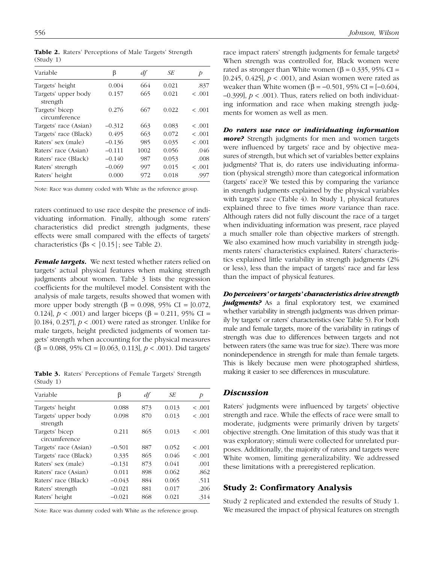| Variable                        | β        | df   | SE    | Þ       |
|---------------------------------|----------|------|-------|---------|
| Targets' height                 | 0.004    | 664  | 0.021 | .837    |
| Targets' upper body<br>strength | 0.157    | 665  | 0.021 | < .001  |
| Targets' bicep<br>circumference | 0.276    | 667  | 0.022 | < .001  |
| Targets' race (Asian)           | $-0.312$ | 663  | 0.083 | < 0.001 |
| Targets' race (Black)           | 0.495    | 663  | 0.072 | < .001  |
| Raters' sex (male)              | $-0.136$ | 985  | 0.035 | < .001  |
| Raters' race (Asian)            | $-0.111$ | 1002 | 0.056 | .046    |
| Raters' race (Black)            | $-0.140$ | 987  | 0.053 | .008    |
| Raters' strength                | $-0.069$ | 997  | 0.015 | < 0.001 |
| Raters' height                  | 0.000    | 972  | 0.018 | .997    |

Table 2. Raters' Perceptions of Male Targets' Strength (Study 1)

Note: Race was dummy coded with White as the reference group.

raters continued to use race despite the presence of individuating information. Finally, although some raters' characteristics did predict strength judgments, these effects were small compared with the effects of targets' characteristics (βs < | 0.15 | ; see Table 2).

*Female targets.* We next tested whether raters relied on targets' actual physical features when making strength judgments about women. Table 3 lists the regression coefficients for the multilevel model. Consistent with the analysis of male targets, results showed that women with more upper body strength ( $\beta$  = 0.098, 95% CI = [0.072, 0.124],  $p < .001$ ) and larger biceps (β = 0.211, 95% CI = [0.184, 0.237],  $p < .001$ ) were rated as stronger. Unlike for male targets, height predicted judgments of women targets' strength when accounting for the physical measures (β = 0.088, 95% CI = [0.063, 0.113], *p* < .001). Did targets'

Table 3. Raters' Perceptions of Female Targets' Strength (Study 1)

| Variable                        | β        | df  | SE    | Þ      |
|---------------------------------|----------|-----|-------|--------|
| Targets' height                 | 0.088    | 873 | 0.013 | < .001 |
| Targets' upper body<br>strength | 0.098    | 870 | 0.013 | < .001 |
| Targets' bicep<br>circumference | 0.211    | 865 | 0.013 | < .001 |
| Targets' race (Asian)           | $-0.501$ | 887 | 0.052 | < .001 |
| Targets' race (Black)           | 0.335    | 865 | 0.046 | < .001 |
| Raters' sex (male)              | $-0.131$ | 873 | 0.041 | .001   |
| Raters' race (Asian)            | 0.011    | 898 | 0.062 | .862   |
| Raters' race (Black)            | $-0.043$ | 884 | 0.065 | .511   |
| Raters' strength                | $-0.021$ | 881 | 0.017 | .206   |
| Raters' height                  | $-0.021$ | 868 | 0.021 | .314   |

Note: Race was dummy coded with White as the reference group.

race impact raters' strength judgments for female targets? When strength was controlled for, Black women were rated as stronger than White women (β = 0.335, 95% CI = [0.245, 0.425], *p* < .001), and Asian women were rated as weaker than White women (β =  $-0.501$ , 95% CI =  $[-0.604,$ –0.399], *p* < .001). Thus, raters relied on both individuating information and race when making strength judgments for women as well as men.

*Do raters use race or individuating information more?* Strength judgments for men and women targets were influenced by targets' race and by objective measures of strength, but which set of variables better explains judgments? That is, do raters use individuating information (physical strength) more than categorical information (targets' race)? We tested this by comparing the variance in strength judgments explained by the physical variables with targets' race (Table 4). In Study 1, physical features explained three to five times *more* variance than race. Although raters did not fully discount the race of a target when individuating information was present, race played a much smaller role than objective markers of strength. We also examined how much variability in strength judgments raters' characteristics explained. Raters' characteristics explained little variability in strength judgments (2% or less), less than the impact of targets' race and far less than the impact of physical features.

*Do perceivers' or targets' characteristics drive strength*  judgments? As a final exploratory test, we examined whether variability in strength judgments was driven primarily by targets' or raters' characteristics (see Table 5). For both male and female targets, more of the variability in ratings of strength was due to differences between targets and not between raters (the same was true for size). There was more nonindependence in strength for male than female targets. This is likely because men were photographed shirtless, making it easier to see differences in musculature.

#### *Discussion*

Raters' judgments were influenced by targets' objective strength and race. While the effects of race were small to moderate, judgments were primarily driven by targets' objective strength. One limitation of this study was that it was exploratory; stimuli were collected for unrelated purposes. Additionally, the majority of raters and targets were White women, limiting generalizability. We addressed these limitations with a preregistered replication.

## Study 2: Confirmatory Analysis

Study 2 replicated and extended the results of Study 1. We measured the impact of physical features on strength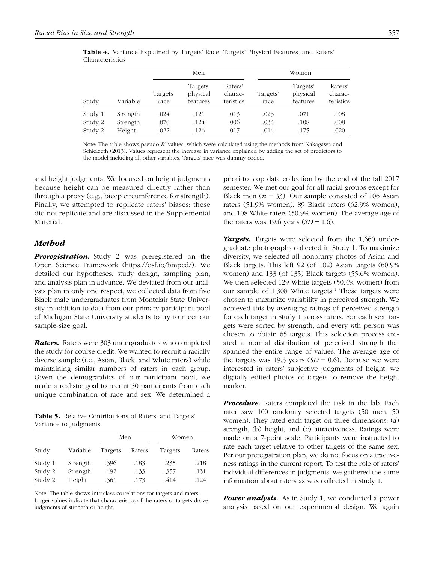|         |          |                  | Men                              |                                 | Women            |                                  |                                 |  |
|---------|----------|------------------|----------------------------------|---------------------------------|------------------|----------------------------------|---------------------------------|--|
| Study   | Variable | Targets'<br>race | Targets'<br>physical<br>features | Raters'<br>charac-<br>teristics | Targets'<br>race | Targets'<br>physical<br>features | Raters'<br>charac-<br>teristics |  |
| Study 1 | Strength | .024             | .121                             | .013                            | .023             | .071                             | .008                            |  |
| Study 2 | Strength | .070             | .124                             | .006                            | .034             | .108                             | .008                            |  |
| Study 2 | Height   | .022             | .126                             | .017                            | .014             | .175                             | .020                            |  |

Table 4. Variance Explained by Targets' Race, Targets' Physical Features, and Raters' Characteristics

Note: The table shows pseudo- $R^2$  values, which were calculated using the methods from Nakagawa and Schielzeth (2013). Values represent the increase in variance explained by adding the set of predictors to the model including all other variables. Targets' race was dummy coded.

and height judgments. We focused on height judgments because height can be measured directly rather than through a proxy (e.g., bicep circumference for strength). Finally, we attempted to replicate raters' biases; these did not replicate and are discussed in the Supplemental Material.

## *Method*

*Preregistration.* Study 2 was preregistered on the Open Science Framework (<https://osf.io/bmpcd/>). We detailed our hypotheses, study design, sampling plan, and analysis plan in advance. We deviated from our analysis plan in only one respect; we collected data from five Black male undergraduates from Montclair State University in addition to data from our primary participant pool of Michigan State University students to try to meet our sample-size goal.

*Raters.* Raters were 303 undergraduates who completed the study for course credit. We wanted to recruit a racially diverse sample (i.e., Asian, Black, and White raters) while maintaining similar numbers of raters in each group. Given the demographics of our participant pool, we made a realistic goal to recruit 50 participants from each unique combination of race and sex. We determined a

Table 5. Relative Contributions of Raters' and Targets' Variance to Judgments

|         |          | Men     |        | Women   |        |  |
|---------|----------|---------|--------|---------|--------|--|
| Study   | Variable | Targets | Raters | Targets | Raters |  |
| Study 1 | Strength | .396    | .183   | .235    | .218   |  |
| Study 2 | Strength | .492    | .133   | .357    | .131   |  |
| Study 2 | Height   | .361    | .173   | .414    | .124   |  |

Note: The table shows intraclass correlations for targets and raters. Larger values indicate that characteristics of the raters or targets drove judgments of strength or height.

priori to stop data collection by the end of the fall 2017 semester. We met our goal for all racial groups except for Black men ( $n = 33$ ). Our sample consisted of 106 Asian raters (51.9% women), 89 Black raters (62.9% women), and 108 White raters (50.9% women). The average age of the raters was 19.6 years (*SD =* 1.6).

*Targets.* Targets were selected from the 1,660 undergraduate photographs collected in Study 1. To maximize diversity, we selected all nonblurry photos of Asian and Black targets. This left 92 (of 102) Asian targets (60.9% women) and 133 (of 135) Black targets (55.6% women). We then selected 129 White targets (50.4% women) from our sample of 1,308 White targets.<sup>1</sup> These targets were chosen to maximize variability in perceived strength. We achieved this by averaging ratings of perceived strength for each target in Study 1 across raters. For each sex, targets were sorted by strength, and every *n*th person was chosen to obtain 65 targets. This selection process created a normal distribution of perceived strength that spanned the entire range of values. The average age of the targets was 19.3 years (*SD =* 0.6). Because we were interested in raters' subjective judgments of height, we digitally edited photos of targets to remove the height marker.

*Procedure.* Raters completed the task in the lab. Each rater saw 100 randomly selected targets (50 men, 50 women). They rated each target on three dimensions: (a) strength, (b) height, and (c) attractiveness. Ratings were made on a 7-point scale. Participants were instructed to rate each target relative to other targets of the same sex. Per our preregistration plan, we do not focus on attractiveness ratings in the current report. To test the role of raters' individual differences in judgments, we gathered the same information about raters as was collected in Study 1.

*Power analysis.* As in Study 1, we conducted a power analysis based on our experimental design. We again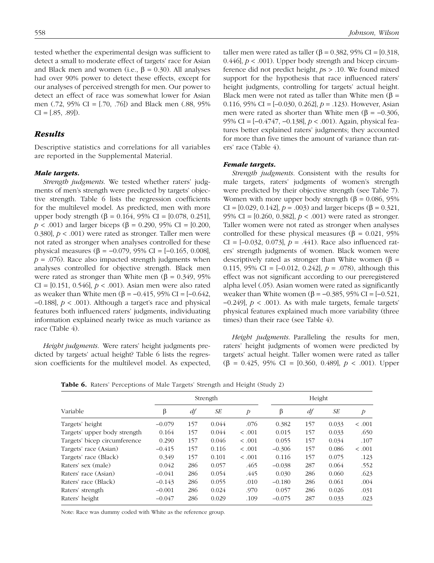tested whether the experimental design was sufficient to detect a small to moderate effect of targets' race for Asian and Black men and women (i.e.,  $β = 0.30$ ). All analyses had over 90% power to detect these effects, except for our analyses of perceived strength for men. Our power to detect an effect of race was somewhat lower for Asian men (.72, 95% CI = [.70, .76]) and Black men (.88, 95%  $CI = [.85, .89]$ .

## *Results*

Descriptive statistics and correlations for all variables are reported in the Supplemental Material.

#### *Male targets.*

*Strength judgments*. We tested whether raters' judgments of men's strength were predicted by targets' objective strength. Table 6 lists the regression coefficients for the multilevel model. As predicted, men with more upper body strength (β = 0.164, 95% CI = [0.078, 0.251], *p* < .001) and larger biceps (β = 0.290, 95% CI = [0.200, 0.380], *p* < .001) were rated as stronger. Taller men were not rated as stronger when analyses controlled for these physical measures (β = -0.079, 95% CI = [-0.165, 0.008],  $p = .076$ ). Race also impacted strength judgments when analyses controlled for objective strength. Black men were rated as stronger than White men ( $\beta = 0.349$ , 95% CI = [0.151, 0.546], *p* < .001). Asian men were also rated as weaker than White men (β =  $-0.415$ , 95% CI =  $[-0.642,$ −0.188], *p* < .001). Although a target's race and physical features both influenced raters' judgments, individuating information explained nearly twice as much variance as race (Table 4).

*Height judgments*. Were raters' height judgments predicted by targets' actual height? Table 6 lists the regression coefficients for the multilevel model. As expected, taller men were rated as taller ( $\beta$  = 0.382, 95% CI = [0.318, 0.446],  $p < .001$ ). Upper body strength and bicep circumference did not predict height, *p*s > .10. We found mixed support for the hypothesis that race influenced raters' height judgments, controlling for targets' actual height. Black men were not rated as taller than White men ( $\beta$  = 0.116, 95% CI = [–0.030, 0.262], *p* = .123). However, Asian men were rated as shorter than White men ( $\beta = -0.306$ , 95% CI = [−0.4747, −0.138], *p* < .001). Again, physical features better explained raters' judgments; they accounted for more than five times the amount of variance than raters' race (Table 4).

#### *Female targets.*

*Strength judgments*. Consistent with the results for male targets, raters' judgments of women's strength were predicted by their objective strength (see Table 7). Women with more upper body strength ( $\beta$  = 0.086, 95%) CI =  $[0.029, 0.142]$ ,  $p = .003$ ) and larger biceps ( $\beta = 0.321$ , 95% CI = [0.260, 0.382], *p* < .001) were rated as stronger. Taller women were not rated as stronger when analyses controlled for these physical measures (β = 0.021, 95%) CI =  $[-0.032, 0.073]$ ,  $p = .441$ ). Race also influenced raters' strength judgments of women. Black women were descriptively rated as stronger than White women ( $\beta$  = 0.115, 95% CI = [–0.012, 0.242], *p* = .078), although this effect was not significant according to our preregistered alpha level (.05). Asian women were rated as significantly weaker than White women (β =  $-0.385$ , 95% CI =  $[-0.521]$ , −0.249], *p* < .001). As with male targets, female targets' physical features explained much more variability (three times) than their race (see Table 4).

*Height judgments*. Paralleling the results for men, raters' height judgments of women were predicted by targets' actual height. Taller women were rated as taller (β = 0.425, 95% CI = [0.360, 0.489], *p* < .001). Upper

Table 6. Raters' Perceptions of Male Targets' Strength and Height (Study 2)

|                              |          | Strength |       |               |          | Height |       |                |  |
|------------------------------|----------|----------|-------|---------------|----------|--------|-------|----------------|--|
| Variable                     | β        | df       | SE    | $\mathcal{P}$ | β        | df     | SE    | $\overline{p}$ |  |
| Targets' height              | $-0.079$ | 157      | 0.044 | .076          | 0.382    | 157    | 0.033 | < .001         |  |
| Targets' upper body strength | 0.164    | 157      | 0.044 | < .001        | 0.015    | 157    | 0.033 | .650           |  |
| Targets' bicep circumference | 0.290    | 157      | 0.046 | < .001        | 0.055    | 157    | 0.034 | .107           |  |
| Targets' race (Asian)        | $-0.415$ | 157      | 0.116 | < .001        | $-0.306$ | 157    | 0.086 | < .001         |  |
| Targets' race (Black)        | 0.349    | 157      | 0.101 | < .001        | 0.116    | 157    | 0.075 | .123           |  |
| Raters' sex (male)           | 0.042    | 286      | 0.057 | .465          | $-0.038$ | 287    | 0.064 | .552           |  |
| Raters' race (Asian)         | $-0.041$ | 286      | 0.054 | .445          | 0.030    | 286    | 0.060 | .623           |  |
| Raters' race (Black)         | $-0.143$ | 286      | 0.055 | .010          | $-0.180$ | 286    | 0.061 | .004           |  |
| Raters' strength             | $-0.001$ | 286      | 0.024 | .970          | 0.057    | 286    | 0.026 | .031           |  |
| Raters' height               | $-0.047$ | 286      | 0.029 | .109          | $-0.075$ | 287    | 0.033 | .023           |  |

Note: Race was dummy coded with White as the reference group.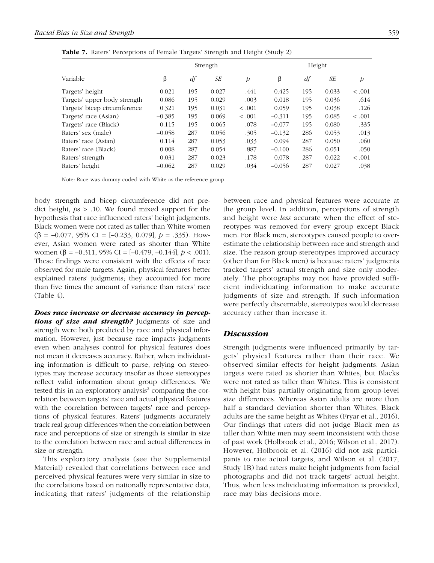|                              | Strength |     |       |                | Height   |     |       |                |
|------------------------------|----------|-----|-------|----------------|----------|-----|-------|----------------|
| Variable                     | β        | df  | SE    | $\overline{p}$ | β        | df  | SE    | $\overline{p}$ |
| Targets' height              | 0.021    | 195 | 0.027 | .441           | 0.425    | 195 | 0.033 | < .001         |
| Targets' upper body strength | 0.086    | 195 | 0.029 | .003           | 0.018    | 195 | 0.036 | .614           |
| Targets' bicep circumference | 0.321    | 195 | 0.031 | < .001         | 0.059    | 195 | 0.038 | .126           |
| Targets' race (Asian)        | $-0.385$ | 195 | 0.069 | < .001         | $-0.311$ | 195 | 0.085 | < .001         |
| Targets' race (Black)        | 0.115    | 195 | 0.065 | .078           | $-0.077$ | 195 | 0.080 | .335           |
| Raters' sex (male)           | $-0.058$ | 287 | 0.056 | .305           | $-0.132$ | 286 | 0.053 | .013           |
| Raters' race (Asian)         | 0.114    | 287 | 0.053 | .033           | 0.094    | 287 | 0.050 | .060           |
| Raters' race (Black)         | 0.008    | 287 | 0.054 | .887           | $-0.100$ | 286 | 0.051 | .050           |
| Raters' strength             | 0.031    | 287 | 0.023 | .178           | 0.078    | 287 | 0.022 | < .001         |
| Raters' height               | $-0.062$ | 287 | 0.029 | .034           | $-0.056$ | 287 | 0.027 | .038           |

Table 7. Raters' Perceptions of Female Targets' Strength and Height (Study 2)

Note: Race was dummy coded with White as the reference group.

body strength and bicep circumference did not predict height, *p*s > .10. We found mixed support for the hypothesis that race influenced raters' height judgments. Black women were not rated as taller than White women (β = –0.077, 95% CI = [–0.233, 0.079], *p* = .335). However, Asian women were rated as shorter than White women (β = –0.311, 95% CI = [–0.479, –0.144], *p* < .001). These findings were consistent with the effects of race observed for male targets. Again, physical features better explained raters' judgments; they accounted for more than five times the amount of variance than raters' race (Table 4).

*Does race increase or decrease accuracy in percep*tions of size and strength? Judgments of size and strength were both predicted by race and physical information. However, just because race impacts judgments even when analyses control for physical features does not mean it decreases accuracy. Rather, when individuating information is difficult to parse, relying on stereotypes may increase accuracy insofar as those stereotypes reflect valid information about group differences. We tested this in an exploratory analysis<sup>2</sup> comparing the correlation between targets' race and actual physical features with the correlation between targets' race and perceptions of physical features. Raters' judgments accurately track real group differences when the correlation between race and perceptions of size or strength is similar in size to the correlation between race and actual differences in size or strength.

This exploratory analysis (see the Supplemental Material) revealed that correlations between race and perceived physical features were very similar in size to the correlations based on nationally representative data, indicating that raters' judgments of the relationship between race and physical features were accurate at the group level. In addition, perceptions of strength and height were *less* accurate when the effect of stereotypes was removed for every group except Black men. For Black men, stereotypes caused people to overestimate the relationship between race and strength and size. The reason group stereotypes improved accuracy (other than for Black men) is because raters' judgments tracked targets' actual strength and size only moderately. The photographs may not have provided sufficient individuating information to make accurate judgments of size and strength. If such information were perfectly discernable, stereotypes would decrease accuracy rather than increase it.

## *Discussion*

Strength judgments were influenced primarily by targets' physical features rather than their race. We observed similar effects for height judgments. Asian targets were rated as shorter than Whites, but Blacks were not rated as taller than Whites. This is consistent with height bias partially originating from group-level size differences. Whereas Asian adults are more than half a standard deviation shorter than Whites, Black adults are the same height as Whites (Fryar et al., 2016). Our findings that raters did not judge Black men as taller than White men may seem inconsistent with those of past work (Holbrook et al., 2016; Wilson et al., 2017). However, Holbrook et al. (2016) did not ask participants to rate actual targets, and Wilson et al. (2017; Study 1B) had raters make height judgments from facial photographs and did not track targets' actual height. Thus, when less individuating information is provided, race may bias decisions more.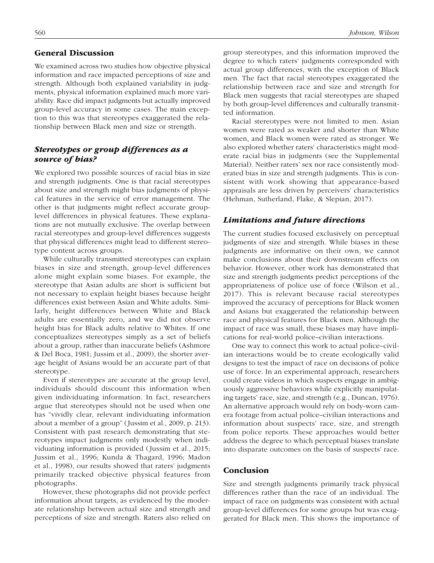## General Discussion

We examined across two studies how objective physical information and race impacted perceptions of size and strength. Although both explained variability in judgments, physical information explained much more variability. Race did impact judgments but actually improved group-level accuracy in some cases. The main exception to this was that stereotypes exaggerated the relationship between Black men and size or strength.

# *Stereotypes or group differences as a source of bias?*

We explored two possible sources of racial bias in size and strength judgments. One is that racial stereotypes about size and strength might bias judgments of physical features in the service of error management. The other is that judgments might reflect accurate grouplevel differences in physical features. These explanations are not mutually exclusive. The overlap between racial stereotypes and group-level differences suggests that physical differences might lead to different stereotype content across groups.

While culturally transmitted stereotypes can explain biases in size and strength, group-level differences alone might explain some biases. For example, the stereotype that Asian adults are short is sufficient but not necessary to explain height biases because height differences exist between Asian and White adults. Similarly, height differences between White and Black adults are essentially zero, and we did not observe height bias for Black adults relative to Whites. If one conceptualizes stereotypes simply as a set of beliefs about a group, rather than inaccurate beliefs (Ashmore & Del Boca, 1981; Jussim et al., 2009), the shorter average height of Asians would be an accurate part of that stereotype.

Even if stereotypes are accurate at the group level, individuals should discount this information when given individuating information. In fact, researchers argue that stereotypes should not be used when one has "vividly clear, relevant individuating information about a member of a group" (Jussim et al., 2009, p. 213). Consistent with past research demonstrating that stereotypes impact judgments only modestly when individuating information is provided (Jussim et al., 2015; Jussim et al., 1996; Kunda & Thagard, 1996; Madon et al., 1998), our results showed that raters' judgments primarily tracked objective physical features from photographs.

However, these photographs did not provide perfect information about targets, as evidenced by the moderate relationship between actual size and strength and perceptions of size and strength. Raters also relied on group stereotypes, and this information improved the degree to which raters' judgments corresponded with actual group differences, with the exception of Black men. The fact that racial stereotypes exaggerated the relationship between race and size and strength for Black men suggests that racial stereotypes are shaped by both group-level differences and culturally transmitted information.

Racial stereotypes were not limited to men. Asian women were rated as weaker and shorter than White women, and Black women were rated as stronger. We also explored whether raters' characteristics might moderate racial bias in judgments (see the Supplemental Material). Neither raters' sex nor race consistently moderated bias in size and strength judgments. This is consistent with work showing that appearance-based appraisals are less driven by perceivers' characteristics (Hehman, Sutherland, Flake, & Slepian, 2017).

## *Limitations and future directions*

The current studies focused exclusively on perceptual judgments of size and strength. While biases in these judgments are informative on their own, we cannot make conclusions about their downstream effects on behavior. However, other work has demonstrated that size and strength judgments predict perceptions of the appropriateness of police use of force (Wilson et al., 2017). This is relevant because racial stereotypes improved the accuracy of perceptions for Black women and Asians but exaggerated the relationship between race and physical features for Black men. Although the impact of race was small, these biases may have implications for real-world police–civilian interactions.

One way to connect this work to actual police–civilian interactions would be to create ecologically valid designs to test the impact of race on decisions of police use of force. In an experimental approach, researchers could create videos in which suspects engage in ambiguously aggressive behaviors while explicitly manipulating targets' race, size, and strength (e.g., Duncan, 1976). An alternative approach would rely on body-worn camera footage from actual police–civilian interactions and information about suspects' race, size, and strength from police reports. These approaches would better address the degree to which perceptual biases translate into disparate outcomes on the basis of suspects' race.

## Conclusion

Size and strength judgments primarily track physical differences rather than the race of an individual. The impact of race on judgments was consistent with actual group-level differences for some groups but was exaggerated for Black men. This shows the importance of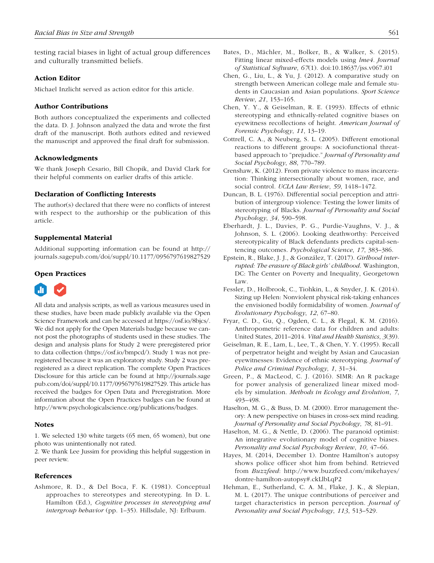testing racial biases in light of actual group differences and culturally transmitted beliefs.

#### Action Editor

Michael Inzlicht served as action editor for this article.

#### Author Contributions

Both authors conceptualized the experiments and collected the data. D. J. Johnson analyzed the data and wrote the first draft of the manuscript. Both authors edited and reviewed the manuscript and approved the final draft for submission.

## Acknowledgments

We thank Joseph Cesario, Bill Chopik, and David Clark for their helpful comments on earlier drafts of this article.

#### Declaration of Conflicting Interests

The author(s) declared that there were no conflicts of interest with respect to the authorship or the publication of this article.

#### Supplemental Material

Additional supporting information can be found at [http://](http://journals.sagepub.com/doi/suppl/10.1177/0956797619827529) [journals.sagepub.com/doi/suppl/10.1177/0956797619827529](http://journals.sagepub.com/doi/suppl/10.1177/0956797619827529)

## Open Practices



All data and analysis scripts, as well as various measures used in these studies, have been made publicly available via the Open Science Framework and can be accessed at<https://osf.io/8bjcs/>. We did not apply for the Open Materials badge because we cannot post the photographs of students used in these studies. The design and analysis plans for Study 2 were preregistered prior to data collection (<https://osf.io/bmpcd/>). Study 1 was not preregistered because it was an exploratory study. Study 2 was preregistered as a direct replication. The complete Open Practices Disclosure for this article can be found at [http://journals.sage](http://journals.sagepub.com/doi/suppl/10.1177/0956797619827529) [pub.com/doi/suppl/10.1177/0956797619827529.](http://journals.sagepub.com/doi/suppl/10.1177/0956797619827529) This article has received the badges for Open Data and Preregistration. More information about the Open Practices badges can be found at [http://www.psychologicalscience.org/publications/badges.](http://www.psychologicalscience.org/publications/badges)

#### **Notes**

1. We selected 130 white targets (65 men, 65 women), but one photo was unintentionally not rated.

2. We thank Lee Jussim for providing this helpful suggestion in peer review.

#### References

Ashmore, R. D., & Del Boca, F. K. (1981). Conceptual approaches to stereotypes and stereotyping. In D. L. Hamilton (Ed.), *Cognitive processes in stereotyping and intergroup behavior* (pp. 1–35). Hillsdale, NJ: Erlbaum.

- Bates, D., Mächler, M., Bolker, B., & Walker, S. (2015). Fitting linear mixed-effects models using *lme4. Journal of Statistical Software*, *67*(1). doi:10.18637/jss.v067.i01
- Chen, G., Liu, L., & Yu, J. (2012). A comparative study on strength between American college male and female students in Caucasian and Asian populations. *Sport Science Review*, *21*, 153–165.
- Chen, Y. Y., & Geiselman, R. E. (1993). Effects of ethnic stereotyping and ethnically-related cognitive biases on eyewitness recollections of height. *American Journal of Forensic Psychology*, *11*, 13–19.
- Cottrell, C. A., & Neuberg, S. L. (2005). Different emotional reactions to different groups: A sociofunctional threatbased approach to "prejudice." *Journal of Personality and Social Psychology*, *88*, 770–789.
- Crenshaw, K. (2012). From private violence to mass incarceration: Thinking intersectionally about women, race, and social control. *UCLA Law Review*, *59*, 1418–1472.
- Duncan, B. L. (1976). Differential social perception and attribution of intergroup violence: Testing the lower limits of stereotyping of Blacks. *Journal of Personality and Social Psychology*, *34*, 590–598.
- Eberhardt, J. L., Davies, P. G., Purdie-Vaughns, V. J., & Johnson, S. L. (2006). Looking deathworthy: Perceived stereotypicality of Black defendants predicts capital-sentencing outcomes. *Psychological Science*, *17*, 383–386.
- Epstein, R., Blake, J. J., & González, T. (2017). *Girlhood interrupted: The erasure of Black girls' childhood*. Washington, DC: The Center on Poverty and Inequality, Georgetown Law.
- Fessler, D., Holbrook, C., Tiohkin, L., & Snyder, J. K. (2014). Sizing up Helen: Nonviolent physical risk-taking enhances the envisioned bodily formidability of women. *Journal of Evolutionary Psychology*, *12*, 67–80.
- Fryar, C. D., Gu, Q., Ogden, C. L., & Flegal, K. M. (2016). Anthropometric reference data for children and adults: United States, 2011–2014. *Vital and Health Statistics*, *3*(39).
- Geiselman, R. E., Lam, L., Lee, T., & Chen, Y. Y. (1995). Recall of perpetrator height and weight by Asian and Caucasian eyewitnesses: Evidence of ethnic stereotyping. *Journal of Police and Criminal Psychology*, *1*, 31–34.
- Green, P., & MacLeod, C. J. (2016). SIMR: An R package for power analysis of generalized linear mixed models by simulation. *Methods in Ecology and Evolution*, *7*, 493–498.
- Haselton, M. G., & Buss, D. M. (2000). Error management theory: A new perspective on biases in cross-sex mind reading. *Journal of Personality and Social Psychology*, *78*, 81–91.
- Haselton, M. G., & Nettle, D. (2006). The paranoid optimist: An integrative evolutionary model of cognitive biases. *Personality and Social Psychology Review*, *10*, 47–66.
- Hayes, M. (2014, December 1). Dontre Hamilton's autopsy shows police officer shot him from behind. Retrieved from *Buzzfeed*: [http://www.buzzfeed.com/mikehayes/](http://www.buzzfeed.com/mikehayes/dontre-hamilton-autopsy#.ckLlbLqP2) [dontre-hamilton-autopsy](http://www.buzzfeed.com/mikehayes/dontre-hamilton-autopsy#.ckLlbLqP2)#.ckLlbLqP2
- Hehman, E., Sutherland, C. A. M., Flake, J. K., & Slepian, M. L. (2017). The unique contributions of perceiver and target characteristics in person perception. *Journal of Personality and Social Psychology*, *113*, 513–529.